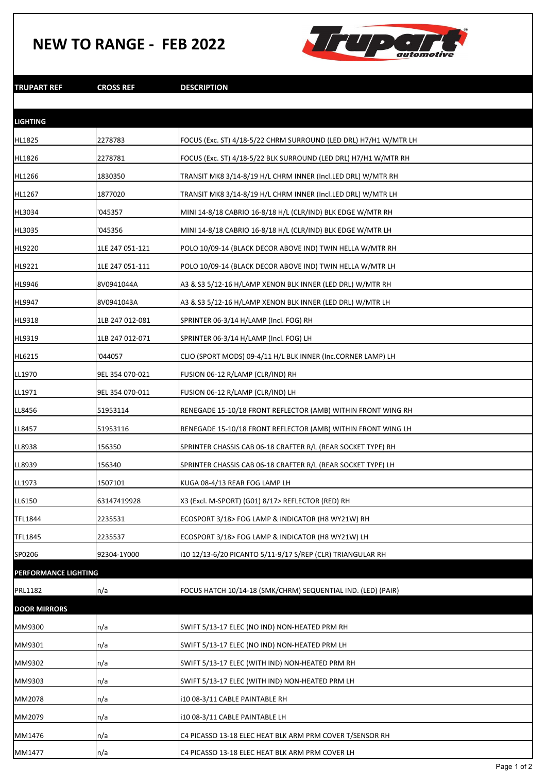## **NEW TO RANGE - FEB 2022**



**TRUPART REF CROSS REF DESCRIPTION**

| <b>LIGHTING</b>      |                 |                                                                  |
|----------------------|-----------------|------------------------------------------------------------------|
| HL1825               | 2278783         | FOCUS (Exc. ST) 4/18-5/22 CHRM SURROUND (LED DRL) H7/H1 W/MTR LH |
| HL1826               | 2278781         | FOCUS (Exc. ST) 4/18-5/22 BLK SURROUND (LED DRL) H7/H1 W/MTR RH  |
| HL1266               | 1830350         | TRANSIT MK8 3/14-8/19 H/L CHRM INNER (Incl.LED DRL) W/MTR RH     |
| HL1267               | 1877020         | TRANSIT MK8 3/14-8/19 H/L CHRM INNER (Incl.LED DRL) W/MTR LH     |
| HL3034               | '045357         | MINI 14-8/18 CABRIO 16-8/18 H/L (CLR/IND) BLK EDGE W/MTR RH      |
| HL3035               | '045356         | MINI 14-8/18 CABRIO 16-8/18 H/L (CLR/IND) BLK EDGE W/MTR LH      |
| HL9220               | 1LE 247 051-121 | POLO 10/09-14 (BLACK DECOR ABOVE IND) TWIN HELLA W/MTR RH        |
| HL9221               | 1LE 247 051-111 | POLO 10/09-14 (BLACK DECOR ABOVE IND) TWIN HELLA W/MTR LH        |
| HL9946               | 8V0941044A      | A3 & S3 5/12-16 H/LAMP XENON BLK INNER (LED DRL) W/MTR RH        |
| HL9947               | 8V0941043A      | A3 & S3 5/12-16 H/LAMP XENON BLK INNER (LED DRL) W/MTR LH        |
| HL9318               | 1LB 247 012-081 | SPRINTER 06-3/14 H/LAMP (Incl. FOG) RH                           |
| HL9319               | 1LB 247 012-071 | SPRINTER 06-3/14 H/LAMP (Incl. FOG) LH                           |
| HL6215               | '044057         | CLIO (SPORT MODS) 09-4/11 H/L BLK INNER (Inc.CORNER LAMP) LH     |
| LL1970               | 9EL 354 070-021 | FUSION 06-12 R/LAMP (CLR/IND) RH                                 |
| LL1971               | 9EL 354 070-011 | FUSION 06-12 R/LAMP (CLR/IND) LH                                 |
| LL8456               | 51953114        | RENEGADE 15-10/18 FRONT REFLECTOR (AMB) WITHIN FRONT WING RH     |
| LL8457               | 51953116        | RENEGADE 15-10/18 FRONT REFLECTOR (AMB) WITHIN FRONT WING LH     |
| LL8938               | 156350          | SPRINTER CHASSIS CAB 06-18 CRAFTER R/L (REAR SOCKET TYPE) RH     |
| LL8939               | 156340          | SPRINTER CHASSIS CAB 06-18 CRAFTER R/L (REAR SOCKET TYPE) LH     |
| LL1973               | 1507101         | KUGA 08-4/13 REAR FOG LAMP LH                                    |
| LL6150               | 63147419928     | X3 (Excl. M-SPORT) (G01) 8/17> REFLECTOR (RED) RH                |
| TFL1844              | 2235531         | ECOSPORT 3/18> FOG LAMP & INDICATOR (H8 WY21W) RH                |
| TFL1845              | 2235537         | ECOSPORT 3/18> FOG LAMP & INDICATOR (H8 WY21W) LH                |
| SP0206               | 92304-1Y000     | i10 12/13-6/20 PICANTO 5/11-9/17 S/REP (CLR) TRIANGULAR RH       |
| PERFORMANCE LIGHTING |                 |                                                                  |
| PRL1182              | n/a             | FOCUS HATCH 10/14-18 (SMK/CHRM) SEQUENTIAL IND. (LED) (PAIR)     |
| <b>DOOR MIRRORS</b>  |                 |                                                                  |
| MM9300               | n/a             | SWIFT 5/13-17 ELEC (NO IND) NON-HEATED PRM RH                    |
| MM9301               | n/a             | SWIFT 5/13-17 ELEC (NO IND) NON-HEATED PRM LH                    |
| MM9302               | n/a             | SWIFT 5/13-17 ELEC (WITH IND) NON-HEATED PRM RH                  |
| MM9303               | n/a             | SWIFT 5/13-17 ELEC (WITH IND) NON-HEATED PRM LH                  |
| MM2078               | n/a             | i10 08-3/11 CABLE PAINTABLE RH                                   |
| MM2079               | n/a             | i10 08-3/11 CABLE PAINTABLE LH                                   |
| MM1476               | n/a             | C4 PICASSO 13-18 ELEC HEAT BLK ARM PRM COVER T/SENSOR RH         |
| MM1477               | n/a             | C4 PICASSO 13-18 ELEC HEAT BLK ARM PRM COVER LH                  |